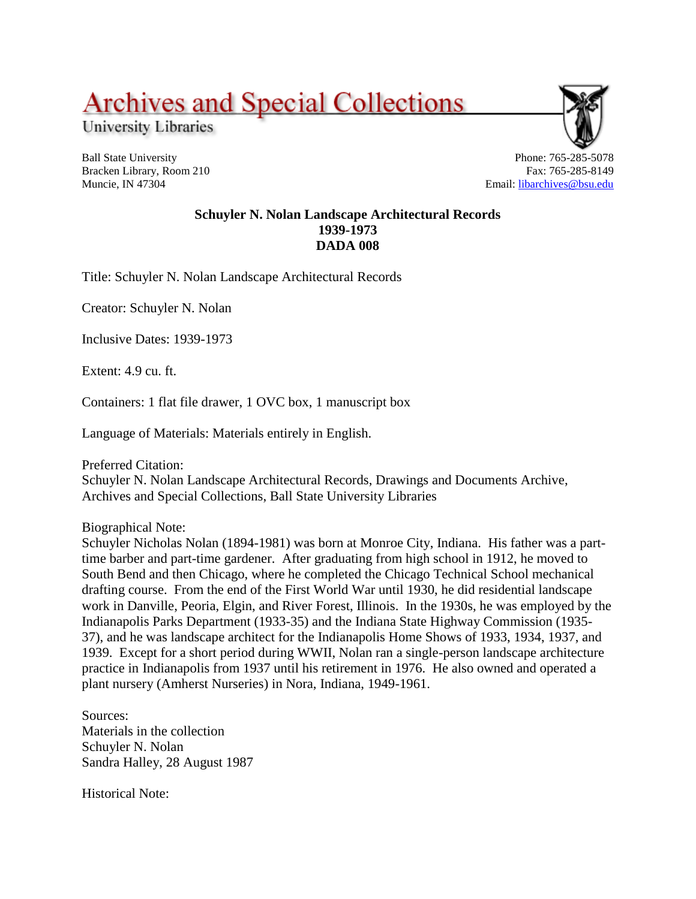## **Archives and Special Collections**

University Libraries

Ball State University Bracken Library, Room 210 Muncie, IN 47304

Phone: 765-285-5078 Fax: 765-285-8149 Email: [libarchives@bsu.edu](mailto:libarchives@bsu.edu)

## **Schuyler N. Nolan Landscape Architectural Records 1939-1973 DADA 008**

Title: Schuyler N. Nolan Landscape Architectural Records

Creator: Schuyler N. Nolan

Inclusive Dates: 1939-1973

Extent: 4.9 cu. ft.

Containers: 1 flat file drawer, 1 OVC box, 1 manuscript box

Language of Materials: Materials entirely in English.

Preferred Citation:

Schuyler N. Nolan Landscape Architectural Records, Drawings and Documents Archive, Archives and Special Collections, Ball State University Libraries

Biographical Note:

Schuyler Nicholas Nolan (1894-1981) was born at Monroe City, Indiana. His father was a parttime barber and part-time gardener. After graduating from high school in 1912, he moved to South Bend and then Chicago, where he completed the Chicago Technical School mechanical drafting course. From the end of the First World War until 1930, he did residential landscape work in Danville, Peoria, Elgin, and River Forest, Illinois. In the 1930s, he was employed by the Indianapolis Parks Department (1933-35) and the Indiana State Highway Commission (1935- 37), and he was landscape architect for the Indianapolis Home Shows of 1933, 1934, 1937, and 1939. Except for a short period during WWII, Nolan ran a single-person landscape architecture practice in Indianapolis from 1937 until his retirement in 1976. He also owned and operated a plant nursery (Amherst Nurseries) in Nora, Indiana, 1949-1961.

Sources: Materials in the collection Schuyler N. Nolan Sandra Halley, 28 August 1987

Historical Note: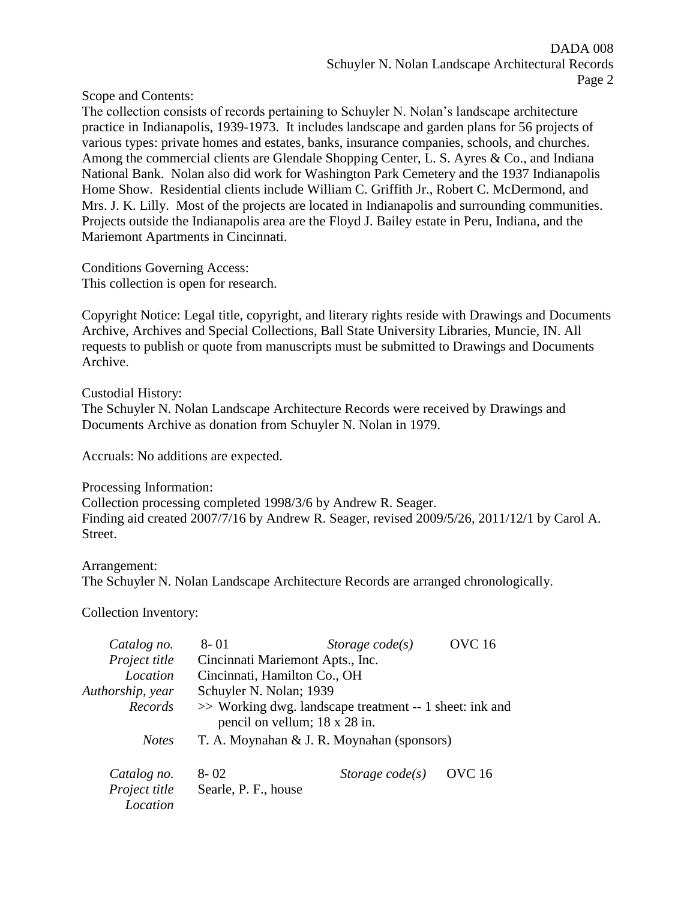Scope and Contents:

The collection consists of records pertaining to Schuyler N. Nolan's landscape architecture practice in Indianapolis, 1939-1973. It includes landscape and garden plans for 56 projects of various types: private homes and estates, banks, insurance companies, schools, and churches. Among the commercial clients are Glendale Shopping Center, L. S. Ayres & Co., and Indiana National Bank. Nolan also did work for Washington Park Cemetery and the 1937 Indianapolis Home Show. Residential clients include William C. Griffith Jr., Robert C. McDermond, and Mrs. J. K. Lilly. Most of the projects are located in Indianapolis and surrounding communities. Projects outside the Indianapolis area are the Floyd J. Bailey estate in Peru, Indiana, and the Mariemont Apartments in Cincinnati.

Conditions Governing Access: This collection is open for research.

Copyright Notice: Legal title, copyright, and literary rights reside with Drawings and Documents Archive, Archives and Special Collections, Ball State University Libraries, Muncie, IN. All requests to publish or quote from manuscripts must be submitted to Drawings and Documents Archive.

Custodial History: The Schuyler N. Nolan Landscape Architecture Records were received by Drawings and Documents Archive as donation from Schuyler N. Nolan in 1979.

Accruals: No additions are expected.

Processing Information: Collection processing completed 1998/3/6 by Andrew R. Seager. Finding aid created 2007/7/16 by Andrew R. Seager, revised 2009/5/26, 2011/12/1 by Carol A. Street.

Arrangement: The Schuyler N. Nolan Landscape Architecture Records are arranged chronologically.

Collection Inventory:

| Catalog no.      | $8 - 01$                                                                                 | Storage $code(s)$ | <b>OVC</b> 16 |  |
|------------------|------------------------------------------------------------------------------------------|-------------------|---------------|--|
| Project title    | Cincinnati Mariemont Apts., Inc.                                                         |                   |               |  |
| Location         | Cincinnati, Hamilton Co., OH                                                             |                   |               |  |
| Authorship, year | Schuyler N. Nolan; 1939                                                                  |                   |               |  |
| Records          | >> Working dwg. landscape treatment -- 1 sheet: ink and<br>pencil on vellum; 18 x 28 in. |                   |               |  |
| <b>Notes</b>     | T. A. Moynahan & J. R. Moynahan (sponsors)                                               |                   |               |  |
| Catalog no.      | $8 - 02$                                                                                 | Storage $code(s)$ | <b>OVC</b> 16 |  |
| Project title    | Searle, P. F., house                                                                     |                   |               |  |
| Location         |                                                                                          |                   |               |  |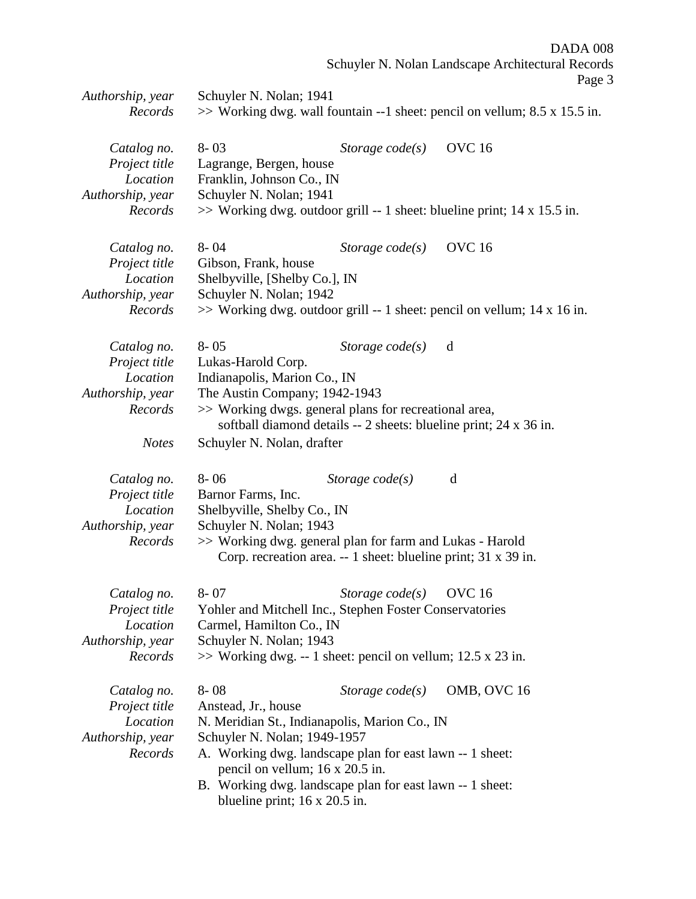DADA 008

Schuyler N. Nolan Landscape Architectural Records

|                  |                                      |                                                                                                                            | Page 3                                                                     |
|------------------|--------------------------------------|----------------------------------------------------------------------------------------------------------------------------|----------------------------------------------------------------------------|
| Authorship, year | Schuyler N. Nolan; 1941              |                                                                                                                            |                                                                            |
| Records          |                                      |                                                                                                                            | >> Working dwg. wall fountain --1 sheet: pencil on vellum; 8.5 x 15.5 in.  |
| Catalog no.      | $8 - 03$                             | Storage $code(s)$                                                                                                          | <b>OVC</b> 16                                                              |
| Project title    | Lagrange, Bergen, house              |                                                                                                                            |                                                                            |
| Location         | Franklin, Johnson Co., IN            |                                                                                                                            |                                                                            |
| Authorship, year | Schuyler N. Nolan; 1941              |                                                                                                                            |                                                                            |
| Records          |                                      |                                                                                                                            | $\gg$ Working dwg. outdoor grill -- 1 sheet: blueline print; 14 x 15.5 in. |
| Catalog no.      | $8 - 04$                             | Storage $code(s)$                                                                                                          | <b>OVC</b> 16                                                              |
| Project title    | Gibson, Frank, house                 |                                                                                                                            |                                                                            |
| Location         | Shelbyville, [Shelby Co.], IN        |                                                                                                                            |                                                                            |
| Authorship, year | Schuyler N. Nolan; 1942              |                                                                                                                            |                                                                            |
| Records          |                                      |                                                                                                                            | $\gg$ Working dwg. outdoor grill -- 1 sheet: pencil on vellum; 14 x 16 in. |
| Catalog no.      | $8 - 05$                             | Storage $code(s)$                                                                                                          | d                                                                          |
| Project title    | Lukas-Harold Corp.                   |                                                                                                                            |                                                                            |
| Location         | Indianapolis, Marion Co., IN         |                                                                                                                            |                                                                            |
| Authorship, year | The Austin Company; 1942-1943        |                                                                                                                            |                                                                            |
| Records          |                                      | >> Working dwgs. general plans for recreational area,<br>softball diamond details -- 2 sheets: blueline print; 24 x 36 in. |                                                                            |
| <b>Notes</b>     | Schuyler N. Nolan, drafter           |                                                                                                                            |                                                                            |
| Catalog no.      | $8 - 06$                             | Storage $code(s)$                                                                                                          | d                                                                          |
| Project title    | Barnor Farms, Inc.                   |                                                                                                                            |                                                                            |
| Location         | Shelbyville, Shelby Co., IN          |                                                                                                                            |                                                                            |
| Authorship, year | Schuyler N. Nolan; 1943              |                                                                                                                            |                                                                            |
| Records          |                                      | >> Working dwg. general plan for farm and Lukas - Harold                                                                   |                                                                            |
|                  |                                      | Corp. recreation area. -- 1 sheet: blueline print; 31 x 39 in.                                                             |                                                                            |
| Catalog no.      | $8 - 07$                             | Storage $code(s)$                                                                                                          | <b>OVC</b> 16                                                              |
| Project title    |                                      | Yohler and Mitchell Inc., Stephen Foster Conservatories                                                                    |                                                                            |
| Location         | Carmel, Hamilton Co., IN             |                                                                                                                            |                                                                            |
| Authorship, year | Schuyler N. Nolan; 1943              |                                                                                                                            |                                                                            |
| Records          |                                      | $\gg$ Working dwg. -- 1 sheet: pencil on vellum; 12.5 x 23 in.                                                             |                                                                            |
| Catalog no.      | $8 - 08$                             | Storage $code(s)$                                                                                                          | OMB, OVC 16                                                                |
| Project title    | Anstead, Jr., house                  |                                                                                                                            |                                                                            |
| Location         |                                      | N. Meridian St., Indianapolis, Marion Co., IN                                                                              |                                                                            |
| Authorship, year | Schuyler N. Nolan; 1949-1957         |                                                                                                                            |                                                                            |
| Records          |                                      | A. Working dwg. landscape plan for east lawn -- 1 sheet:                                                                   |                                                                            |
|                  |                                      | pencil on vellum; 16 x 20.5 in.                                                                                            |                                                                            |
|                  | blueline print; $16 \times 20.5$ in. | B. Working dwg. landscape plan for east lawn -- 1 sheet:                                                                   |                                                                            |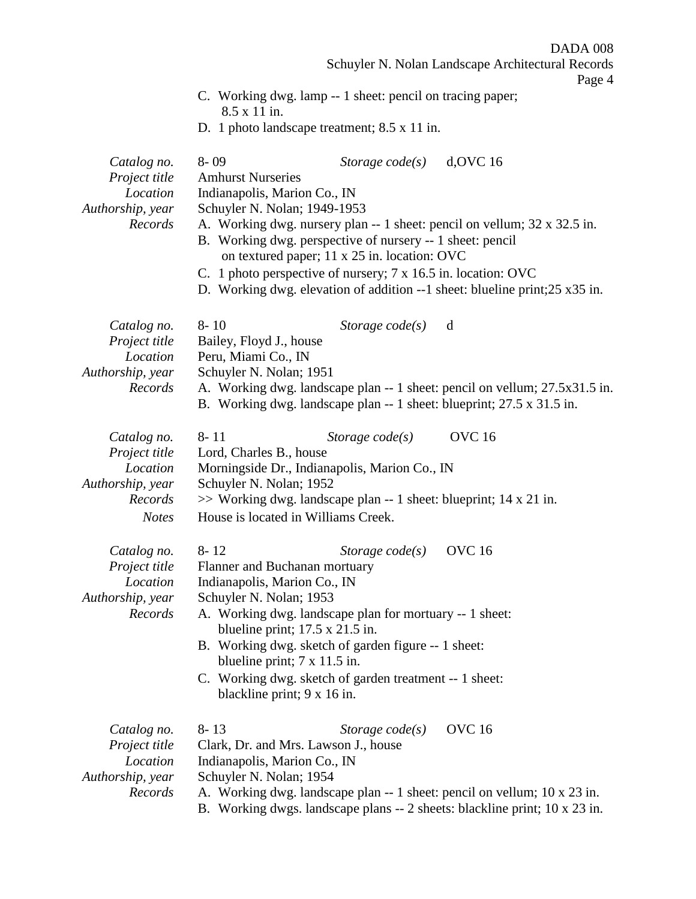DADA 008

Schuyler N. Nolan Landscape Architectural Records

Page 4

- C. Working dwg. lamp -- 1 sheet: pencil on tracing paper; 8.5 x 11 in.
- D. 1 photo landscape treatment; 8.5 x 11 in.

| Catalog no.<br>Project title<br>Location<br>Authorship, year<br>Records                 | $8 - 09$<br>$d,$ OVC 16<br>Storage $code(s)$<br><b>Amhurst Nurseries</b><br>Indianapolis, Marion Co., IN<br>Schuyler N. Nolan; 1949-1953<br>A. Working dwg. nursery plan -- 1 sheet: pencil on vellum; 32 x 32.5 in.<br>B. Working dwg. perspective of nursery -- 1 sheet: pencil<br>on textured paper; 11 x 25 in. location: OVC<br>C. 1 photo perspective of nursery; 7 x 16.5 in. location: OVC<br>D. Working dwg. elevation of addition $-1$ sheet: blueline print; $25 \times 35$ in. |
|-----------------------------------------------------------------------------------------|--------------------------------------------------------------------------------------------------------------------------------------------------------------------------------------------------------------------------------------------------------------------------------------------------------------------------------------------------------------------------------------------------------------------------------------------------------------------------------------------|
| Catalog no.<br>Project title<br>Location<br>Authorship, year<br>Records                 | $8 - 10$<br>Storage $code(s)$<br>d<br>Bailey, Floyd J., house<br>Peru, Miami Co., IN<br>Schuyler N. Nolan; 1951<br>A. Working dwg. landscape plan -- 1 sheet: pencil on vellum; 27.5x31.5 in.<br>B. Working dwg. landscape plan -- 1 sheet: blueprint; 27.5 x 31.5 in.                                                                                                                                                                                                                     |
| Catalog no.<br>Project title<br>Location<br>Authorship, year<br>Records<br><b>Notes</b> | <b>OVC</b> 16<br>$8 - 11$<br>Storage $code(s)$<br>Lord, Charles B., house<br>Morningside Dr., Indianapolis, Marion Co., IN<br>Schuyler N. Nolan; 1952<br>>> Working dwg. landscape plan -- 1 sheet: blueprint; 14 x 21 in.<br>House is located in Williams Creek.                                                                                                                                                                                                                          |
| Catalog no.<br>Project title<br>Location<br>Authorship, year<br>Records                 | $8 - 12$<br><b>OVC</b> 16<br>Storage $code(s)$<br>Flanner and Buchanan mortuary<br>Indianapolis, Marion Co., IN<br>Schuyler N. Nolan; 1953<br>A. Working dwg. landscape plan for mortuary -- 1 sheet:<br>blueline print; $17.5 \times 21.5$ in.<br>B. Working dwg. sketch of garden figure -- 1 sheet:<br>blueline print; $7 \times 11.5$ in.<br>C. Working dwg. sketch of garden treatment -- 1 sheet:<br>blackline print; 9 x 16 in.                                                     |
| Catalog no.<br>Project title<br>Location<br>Authorship, year<br>Records                 | <b>OVC</b> 16<br>$8 - 13$<br>Storage $code(s)$<br>Clark, Dr. and Mrs. Lawson J., house<br>Indianapolis, Marion Co., IN<br>Schuyler N. Nolan; 1954<br>A. Working dwg. landscape plan -- 1 sheet: pencil on vellum; 10 x 23 in.<br>B. Working dwgs. landscape plans -- 2 sheets: blackline print; 10 x 23 in.                                                                                                                                                                                |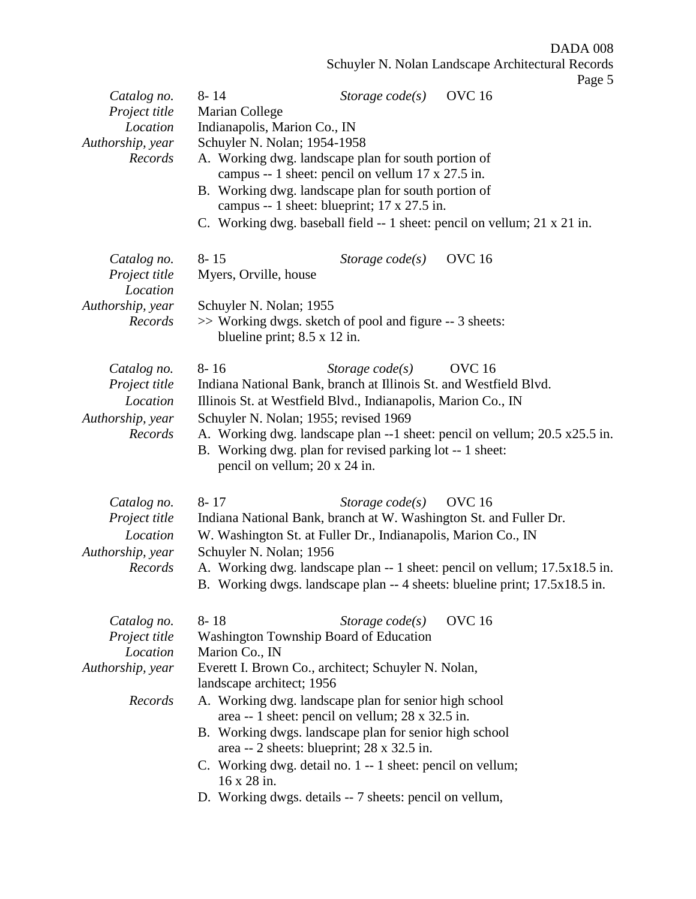DADA 008 Schuyler N. Nolan Landscape Architectural Records Page 5 *Catalog no.* 8- 14 *Storage code(s)* OVC 16 *Project title* Marian College *Location* Indianapolis, Marion Co., IN *Authorship, year* Schuyler N. Nolan; 1954-1958 *Records* A. Working dwg. landscape plan for south portion of campus -- 1 sheet: pencil on vellum 17 x 27.5 in. B. Working dwg. landscape plan for south portion of campus -- 1 sheet: blueprint; 17 x 27.5 in. C. Working dwg. baseball field -- 1 sheet: pencil on vellum; 21 x 21 in. *Catalog no.* 8- 15 *Storage code(s)* OVC 16 *Project title* Myers, Orville, house *Location Authorship, year* Schuyler N. Nolan; 1955 *Records* >> Working dwgs. sketch of pool and figure -- 3 sheets: blueline print; 8.5 x 12 in. *Catalog no.* 8- 16 *Storage code(s)* OVC 16 *Project title* Indiana National Bank, branch at Illinois St. and Westfield Blvd. *Location* Illinois St. at Westfield Blvd., Indianapolis, Marion Co., IN *Authorship, year* Schuyler N. Nolan; 1955; revised 1969 *Records* A. Working dwg. landscape plan --1 sheet: pencil on vellum; 20.5 x25.5 in. B. Working dwg. plan for revised parking lot -- 1 sheet: pencil on vellum; 20 x 24 in. *Catalog no.* 8- 17 *Storage code(s)* OVC 16 *Project title* Indiana National Bank, branch at W. Washington St. and Fuller Dr. *Location* W. Washington St. at Fuller Dr., Indianapolis, Marion Co., IN *Authorship, year* Schuyler N. Nolan; 1956 *Records* A. Working dwg. landscape plan -- 1 sheet: pencil on vellum; 17.5x18.5 in. B. Working dwgs. landscape plan -- 4 sheets: blueline print; 17.5x18.5 in. *Catalog no.* 8- 18 *Storage code(s)* OVC 16

| Project title    | Washington Township Board of Education                     |  |  |  |
|------------------|------------------------------------------------------------|--|--|--|
| Location         | Marion Co., IN                                             |  |  |  |
| Authorship, year | Everett I. Brown Co., architect; Schuyler N. Nolan,        |  |  |  |
|                  | landscape architect; 1956                                  |  |  |  |
| Records          | A. Working dwg. landscape plan for senior high school      |  |  |  |
|                  | area -- 1 sheet: pencil on vellum; 28 x 32.5 in.           |  |  |  |
|                  | B. Working dwgs. landscape plan for senior high school     |  |  |  |
|                  | area -- 2 sheets: blueprint; $28 \times 32.5$ in.          |  |  |  |
|                  | C. Working dwg. detail no. 1 -- 1 sheet: pencil on vellum; |  |  |  |
|                  | $16 \times 28$ in.                                         |  |  |  |
|                  |                                                            |  |  |  |

D. Working dwgs. details -- 7 sheets: pencil on vellum,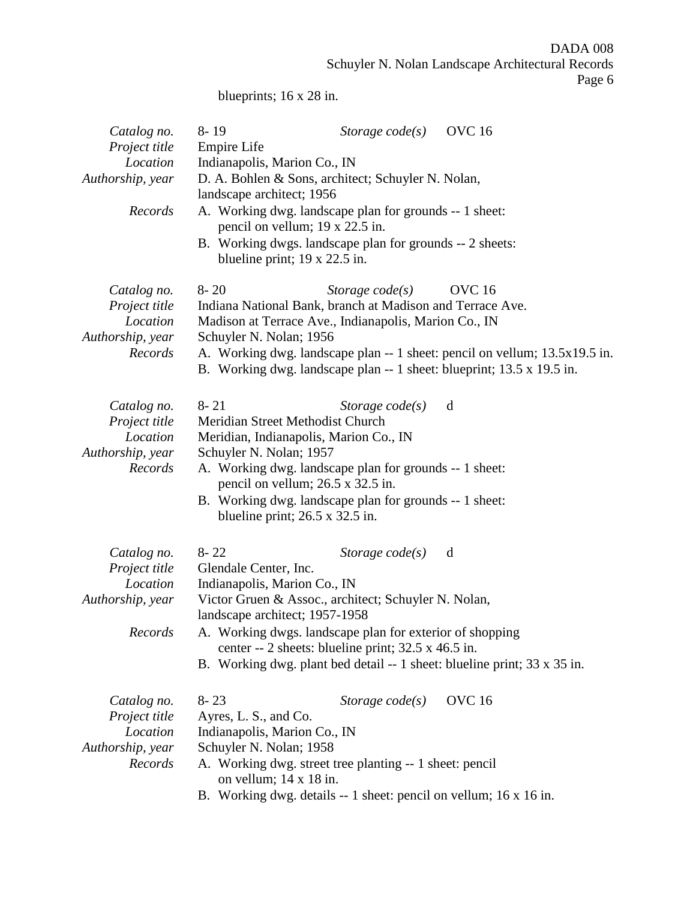DADA 008 Schuyler N. Nolan Landscape Architectural Records Page 6

blueprints; 16 x 28 in.

| Catalog no.<br>Project title<br>Location<br>Authorship, year<br>Records | <b>OVC</b> 16<br>$8 - 19$<br>Storage $code(s)$<br><b>Empire Life</b><br>Indianapolis, Marion Co., IN<br>D. A. Bohlen & Sons, architect; Schuyler N. Nolan,<br>landscape architect; 1956<br>A. Working dwg. landscape plan for grounds -- 1 sheet:<br>pencil on vellum; 19 x 22.5 in.<br>B. Working dwgs. landscape plan for grounds -- 2 sheets:<br>blueline print; $19 \times 22.5$ in. |
|-------------------------------------------------------------------------|------------------------------------------------------------------------------------------------------------------------------------------------------------------------------------------------------------------------------------------------------------------------------------------------------------------------------------------------------------------------------------------|
| Catalog no.<br>Project title<br>Location<br>Authorship, year<br>Records | $8 - 20$<br><b>OVC</b> 16<br>Storage $code(s)$<br>Indiana National Bank, branch at Madison and Terrace Ave.<br>Madison at Terrace Ave., Indianapolis, Marion Co., IN<br>Schuyler N. Nolan; 1956<br>A. Working dwg. landscape plan -- 1 sheet: pencil on vellum; 13.5x19.5 in.<br>B. Working dwg. landscape plan -- 1 sheet: blueprint; 13.5 x 19.5 in.                                   |
| Catalog no.<br>Project title<br>Location<br>Authorship, year<br>Records | $8 - 21$<br>d<br>Storage $code(s)$<br>Meridian Street Methodist Church<br>Meridian, Indianapolis, Marion Co., IN<br>Schuyler N. Nolan; 1957<br>A. Working dwg. landscape plan for grounds -- 1 sheet:<br>pencil on vellum; 26.5 x 32.5 in.<br>B. Working dwg. landscape plan for grounds -- 1 sheet:<br>blueline print; $26.5 \times 32.5$ in.                                           |
| Catalog no.<br>Project title<br>Location<br>Authorship, year<br>Records | $8 - 22$<br>Storage $code(s)$<br>d<br>Glendale Center, Inc.<br>Indianapolis, Marion Co., IN<br>Victor Gruen & Assoc., architect; Schuyler N. Nolan,<br>landscape architect; 1957-1958<br>A. Working dwgs. landscape plan for exterior of shopping<br>center -- 2 sheets: blueline print; 32.5 x 46.5 in.<br>B. Working dwg. plant bed detail $-1$ sheet: blueline print; 33 x 35 in.     |
| Catalog no.<br>Project title<br>Location<br>Authorship, year<br>Records | <b>OVC</b> 16<br>$8 - 23$<br>Storage $code(s)$<br>Ayres, L. S., and Co.<br>Indianapolis, Marion Co., IN<br>Schuyler N. Nolan; 1958<br>A. Working dwg. street tree planting -- 1 sheet: pencil<br>on vellum; $14 \times 18$ in.<br>B. Working dwg. details -- 1 sheet: pencil on vellum; 16 x 16 in.                                                                                      |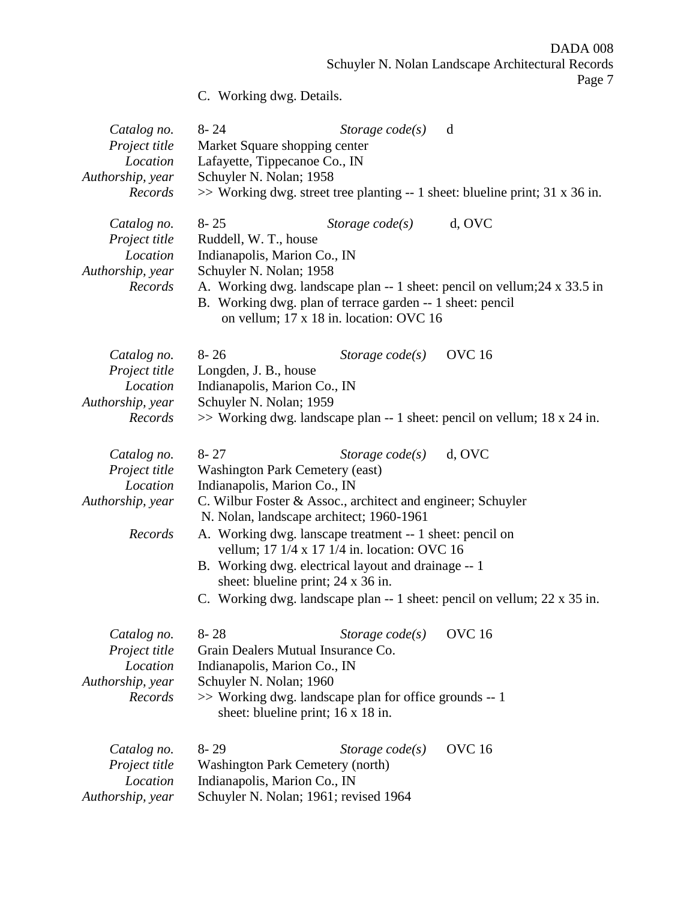DADA 008 Schuyler N. Nolan Landscape Architectural Records

Page 7

| C. Working dwg. Details. |  |
|--------------------------|--|
|--------------------------|--|

| Catalog no.<br>Project title<br>Location<br>Authorship, year<br>Records | $8 - 24$<br>Storage $code(s)$<br>d<br>Market Square shopping center<br>Lafayette, Tippecanoe Co., IN<br>Schuyler N. Nolan; 1958<br>$\gg$ Working dwg. street tree planting -- 1 sheet: blueline print; 31 x 36 in.                                                                                                                                                                                                                                                                                                |
|-------------------------------------------------------------------------|-------------------------------------------------------------------------------------------------------------------------------------------------------------------------------------------------------------------------------------------------------------------------------------------------------------------------------------------------------------------------------------------------------------------------------------------------------------------------------------------------------------------|
| Catalog no.<br>Project title<br>Location<br>Authorship, year<br>Records | $8 - 25$<br>d, OVC<br>Storage $code(s)$<br>Ruddell, W. T., house<br>Indianapolis, Marion Co., IN<br>Schuyler N. Nolan; 1958<br>A. Working dwg. landscape plan -- 1 sheet: pencil on vellum; 24 x 33.5 in<br>B. Working dwg. plan of terrace garden -- 1 sheet: pencil<br>on vellum; 17 x 18 in. location: OVC 16                                                                                                                                                                                                  |
| Catalog no.<br>Project title<br>Location<br>Authorship, year<br>Records | <b>OVC</b> 16<br>$8 - 26$<br>Storage $code(s)$<br>Longden, J. B., house<br>Indianapolis, Marion Co., IN<br>Schuyler N. Nolan; 1959<br>$\gg$ Working dwg. landscape plan -- 1 sheet: pencil on vellum; 18 x 24 in.                                                                                                                                                                                                                                                                                                 |
| Catalog no.<br>Project title<br>Location<br>Authorship, year<br>Records | $8 - 27$<br>d, OVC<br>Storage $code(s)$<br><b>Washington Park Cemetery (east)</b><br>Indianapolis, Marion Co., IN<br>C. Wilbur Foster & Assoc., architect and engineer; Schuyler<br>N. Nolan, landscape architect; 1960-1961<br>A. Working dwg. lanscape treatment -- 1 sheet: pencil on<br>vellum; 17 1/4 x 17 1/4 in. location: OVC 16<br>B. Working dwg. electrical layout and drainage -- 1<br>sheet: blueline print; 24 x 36 in.<br>C. Working dwg. landscape plan -- 1 sheet: pencil on vellum; 22 x 35 in. |
| Catalog no.<br>Project title<br>Location<br>Authorship, year<br>Records | Storage code(s) OVC 16<br>$8 - 28$<br>Grain Dealers Mutual Insurance Co.<br>Indianapolis, Marion Co., IN<br>Schuyler N. Nolan; 1960<br>>> Working dwg. landscape plan for office grounds -- 1<br>sheet: blueline print; 16 x 18 in.                                                                                                                                                                                                                                                                               |
| Catalog no.<br>Project title<br>Location<br>Authorship, year            | <b>OVC</b> 16<br>$8 - 29$<br>Storage $code(s)$<br><b>Washington Park Cemetery (north)</b><br>Indianapolis, Marion Co., IN<br>Schuyler N. Nolan; 1961; revised 1964                                                                                                                                                                                                                                                                                                                                                |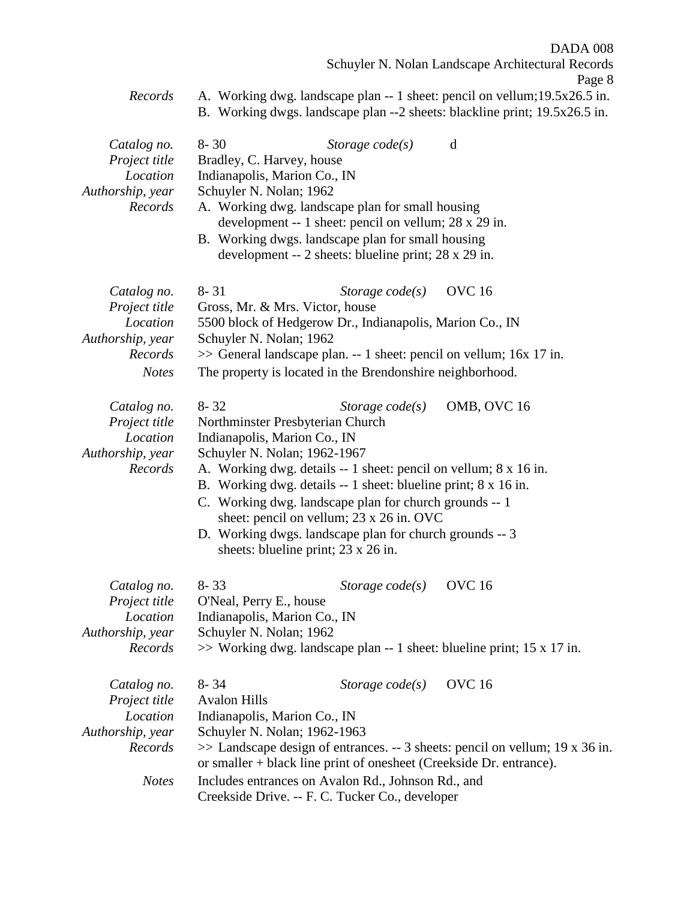DADA 008 Schuyler N. Nolan Landscape Architectural Records

*Records* A. Working dwg. landscape plan -- 1 sheet: pencil on vellum;19.5x26.5 in. B. Working dwgs. landscape plan --2 sheets: blackline print; 19.5x26.5 in.

| Catalog no.<br>Project title<br>Location<br>Authorship, year<br>Records                 | $8 - 30$<br>Bradley, C. Harvey, house<br>Indianapolis, Marion Co., IN<br>Schuyler N. Nolan; 1962             | Storage code(s)<br>A. Working dwg. landscape plan for small housing<br>development -- 1 sheet: pencil on vellum; 28 x 29 in.<br>B. Working dwgs. landscape plan for small housing<br>development -- 2 sheets: blueline print; 28 x 29 in.                                                                                                                       | d                                                                                                |
|-----------------------------------------------------------------------------------------|--------------------------------------------------------------------------------------------------------------|-----------------------------------------------------------------------------------------------------------------------------------------------------------------------------------------------------------------------------------------------------------------------------------------------------------------------------------------------------------------|--------------------------------------------------------------------------------------------------|
| Catalog no.<br>Project title<br>Location<br>Authorship, year<br>Records<br><b>Notes</b> | $8 - 31$<br>Gross, Mr. & Mrs. Victor, house<br>Schuyler N. Nolan; 1962                                       | Storage $code(s)$<br>5500 block of Hedgerow Dr., Indianapolis, Marion Co., IN<br>>> General landscape plan. -- 1 sheet: pencil on vellum; 16x 17 in.<br>The property is located in the Brendonshire neighborhood.                                                                                                                                               | <b>OVC</b> 16                                                                                    |
| Catalog no.<br>Project title<br>Location<br>Authorship, year<br>Records                 | $8 - 32$<br>Northminster Presbyterian Church<br>Indianapolis, Marion Co., IN<br>Schuyler N. Nolan; 1962-1967 | Storage $code(s)$<br>A. Working dwg. details -- 1 sheet: pencil on vellum; 8 x 16 in.<br>B. Working dwg. details -- 1 sheet: blueline print; 8 x 16 in.<br>C. Working dwg. landscape plan for church grounds -- 1<br>sheet: pencil on vellum; 23 x 26 in. OVC<br>D. Working dwgs. landscape plan for church grounds -- 3<br>sheets: blueline print; 23 x 26 in. | OMB, OVC 16                                                                                      |
| Catalog no.<br>Project title<br>Location<br>Authorship, year<br>Records                 | $8 - 33$<br>O'Neal, Perry E., house<br>Indianapolis, Marion Co., IN<br>Schuyler N. Nolan; 1962               | Storage $code(s)$                                                                                                                                                                                                                                                                                                                                               | <b>OVC</b> 16<br>$\gg$ Working dwg. landscape plan -- 1 sheet: blueline print; 15 x 17 in.       |
| Catalog no.<br>Project title<br>Location<br>Authorship, year<br>Records<br><b>Notes</b> | $8 - 34$<br><b>Avalon Hills</b><br>Indianapolis, Marion Co., IN<br>Schuyler N. Nolan; 1962-1963              | Storage $code(s)$<br>or smaller + black line print of onesheet (Creekside Dr. entrance).<br>Includes entrances on Avalon Rd., Johnson Rd., and<br>Creekside Drive. -- F. C. Tucker Co., developer                                                                                                                                                               | <b>OVC</b> 16<br>$\gg$ Landscape design of entrances. -- 3 sheets: pencil on vellum; 19 x 36 in. |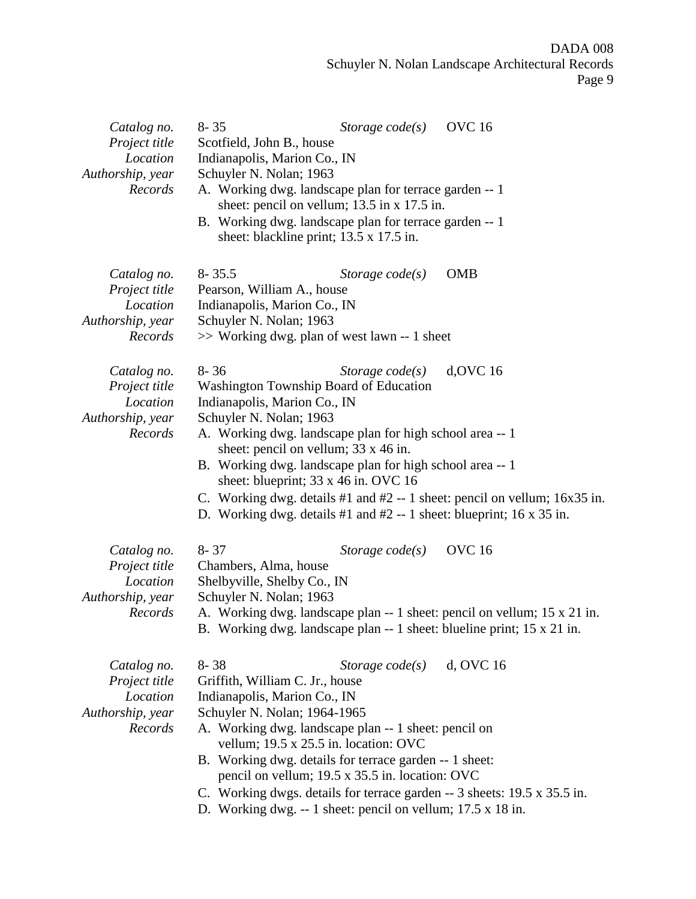| Catalog no.<br>Project title<br>Location<br>Authorship, year<br>Records | $8 - 35$<br>Scotfield, John B., house<br>Indianapolis, Marion Co., IN<br>Schuyler N. Nolan; 1963<br>A. Working dwg. landscape plan for terrace garden -- 1<br>sheet: pencil on vellum; $13.5$ in x $17.5$ in.<br>B. Working dwg. landscape plan for terrace garden -- 1<br>sheet: blackline print; 13.5 x 17.5 in.                                                                                      | Storage $code(s)$ | <b>OVC</b> 16                                                                                                                                                       |
|-------------------------------------------------------------------------|---------------------------------------------------------------------------------------------------------------------------------------------------------------------------------------------------------------------------------------------------------------------------------------------------------------------------------------------------------------------------------------------------------|-------------------|---------------------------------------------------------------------------------------------------------------------------------------------------------------------|
| Catalog no.<br>Project title<br>Location<br>Authorship, year<br>Records | $8 - 35.5$<br>Pearson, William A., house<br>Indianapolis, Marion Co., IN<br>Schuyler N. Nolan; 1963<br>>> Working dwg. plan of west lawn -- 1 sheet                                                                                                                                                                                                                                                     | Storage $code(s)$ | <b>OMB</b>                                                                                                                                                          |
| Catalog no.<br>Project title<br>Location<br>Authorship, year<br>Records | $8 - 36$<br><b>Washington Township Board of Education</b><br>Indianapolis, Marion Co., IN<br>Schuyler N. Nolan; 1963<br>A. Working dwg. landscape plan for high school area -- 1<br>sheet: pencil on vellum; 33 x 46 in.<br>B. Working dwg. landscape plan for high school area -- 1<br>sheet: blueprint; 33 x 46 in. OVC 16<br>D. Working dwg. details $#1$ and $#2 - 1$ sheet: blueprint; 16 x 35 in. | Storage code(s)   | $d, OVC$ 16<br>C. Working dwg. details $#1$ and $#2 - 1$ sheet: pencil on vellum; 16x35 in.                                                                         |
| Catalog no.<br>Project title<br>Location<br>Authorship, year<br>Records | $8 - 37$<br>Chambers, Alma, house<br>Shelbyville, Shelby Co., IN<br>Schuyler N. Nolan; 1963                                                                                                                                                                                                                                                                                                             | Storage $code(s)$ | <b>OVC</b> 16<br>A. Working dwg. landscape plan -- 1 sheet: pencil on vellum; 15 x 21 in.<br>B. Working dwg. landscape plan -- 1 sheet: blueline print; 15 x 21 in. |
| Catalog no.<br>Project title<br>Location<br>Authorship, year<br>Records | $8 - 38$<br>Griffith, William C. Jr., house<br>Indianapolis, Marion Co., IN<br>Schuyler N. Nolan; 1964-1965<br>A. Working dwg. landscape plan -- 1 sheet: pencil on<br>vellum; 19.5 x 25.5 in. location: OVC<br>B. Working dwg. details for terrace garden -- 1 sheet:<br>pencil on vellum; 19.5 x 35.5 in. location: OVC<br>D. Working dwg. $-1$ sheet: pencil on vellum; 17.5 x 18 in.                | Storage $code(s)$ | d, OVC 16<br>C. Working dwgs. details for terrace garden -- 3 sheets: 19.5 x 35.5 in.                                                                               |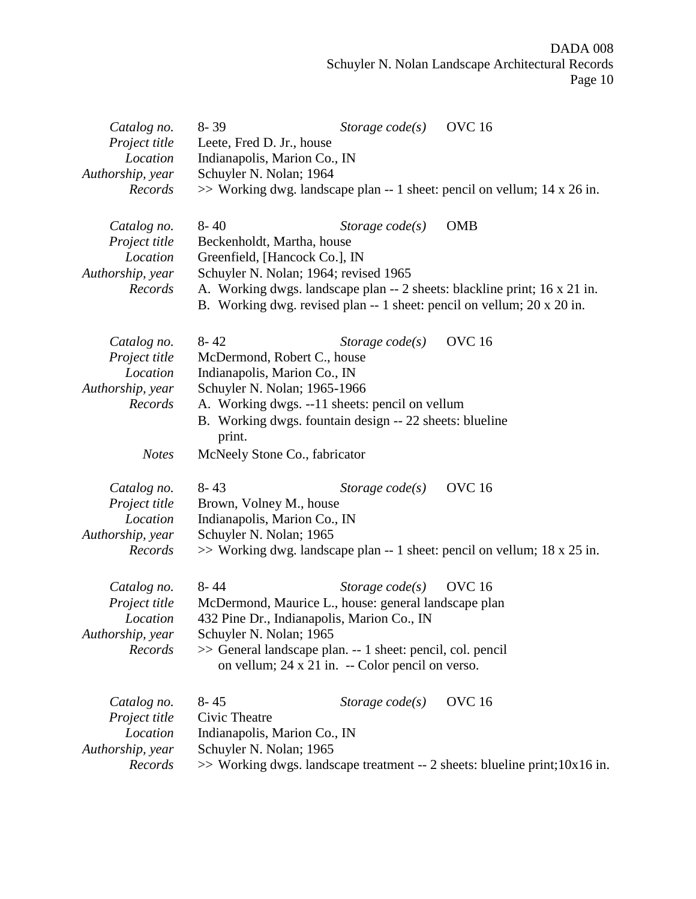## DADA 008 Schuyler N. Nolan Landscape Architectural Records Page 10

| Catalog no.<br>Project title<br>Location<br>Authorship, year<br>Records                 | $8 - 39$<br><b>OVC</b> 16<br>Storage $code(s)$<br>Leete, Fred D. Jr., house<br>Indianapolis, Marion Co., IN<br>Schuyler N. Nolan; 1964<br>$\gg$ Working dwg. landscape plan -- 1 sheet: pencil on vellum; 14 x 26 in.                                                                                      |
|-----------------------------------------------------------------------------------------|------------------------------------------------------------------------------------------------------------------------------------------------------------------------------------------------------------------------------------------------------------------------------------------------------------|
| Catalog no.<br>Project title<br>Location<br>Authorship, year<br>Records                 | $8 - 40$<br><b>OMB</b><br>Storage $code(s)$<br>Beckenholdt, Martha, house<br>Greenfield, [Hancock Co.], IN<br>Schuyler N. Nolan; 1964; revised 1965<br>A. Working dwgs. landscape plan -- 2 sheets: blackline print; 16 x 21 in.<br>B. Working dwg. revised plan -- 1 sheet: pencil on vellum; 20 x 20 in. |
| Catalog no.<br>Project title<br>Location<br>Authorship, year<br>Records<br><b>Notes</b> | <b>OVC</b> 16<br>$8 - 42$<br>Storage $code(s)$<br>McDermond, Robert C., house<br>Indianapolis, Marion Co., IN<br>Schuyler N. Nolan; 1965-1966<br>A. Working dwgs. --11 sheets: pencil on vellum<br>B. Working dwgs. fountain design -- 22 sheets: blueline<br>print.<br>McNeely Stone Co., fabricator      |
| Catalog no.<br>Project title<br>Location<br>Authorship, year<br>Records                 | <b>OVC</b> 16<br>$8 - 43$<br>Storage $code(s)$<br>Brown, Volney M., house<br>Indianapolis, Marion Co., IN<br>Schuyler N. Nolan; 1965<br>$\gg$ Working dwg. landscape plan -- 1 sheet: pencil on vellum; 18 x 25 in.                                                                                        |
| Catalog no.<br>Project title<br>Location<br>Authorship, year<br>Records                 | <b>OVC</b> 16<br>$8 - 44$<br>Storage $code(s)$<br>McDermond, Maurice L., house: general landscape plan<br>432 Pine Dr., Indianapolis, Marion Co., IN<br>Schuyler N. Nolan; 1965<br>>> General landscape plan. -- 1 sheet: pencil, col. pencil<br>on vellum; $24 \times 21$ in. -- Color pencil on verso.   |
| Catalog no.<br>Project title<br>Location<br>Authorship, year<br>Records                 | <b>OVC</b> 16<br>$8 - 45$<br>Storage $code(s)$<br>Civic Theatre<br>Indianapolis, Marion Co., IN<br>Schuyler N. Nolan; 1965<br>$\gg$ Working dwgs. landscape treatment -- 2 sheets: blueline print; 10x16 in.                                                                                               |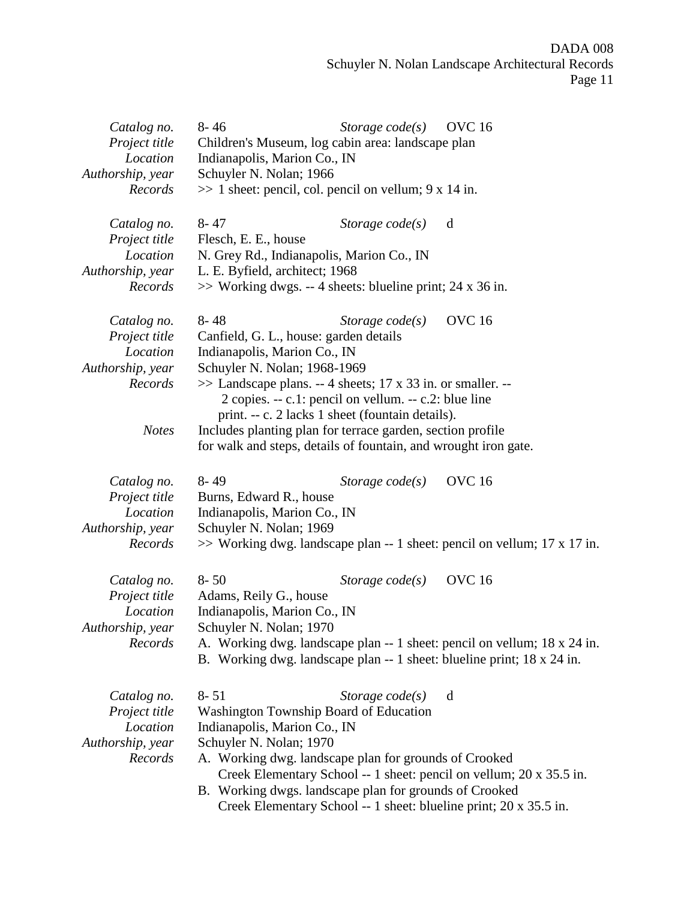| Catalog no.<br>Project title<br>Location<br>Authorship, year<br>Records | $8 - 46$<br>Indianapolis, Marion Co., IN<br>Schuyler N. Nolan; 1966                                                  | Storage $code(s)$<br>Children's Museum, log cabin area: landscape plan<br>$\gg$ 1 sheet: pencil, col. pencil on vellum; 9 x 14 in.                                            | <b>OVC</b> 16                                                                                                                                                       |
|-------------------------------------------------------------------------|----------------------------------------------------------------------------------------------------------------------|-------------------------------------------------------------------------------------------------------------------------------------------------------------------------------|---------------------------------------------------------------------------------------------------------------------------------------------------------------------|
| Catalog no.<br>Project title<br>Location<br>Authorship, year<br>Records | $8 - 47$<br>Flesch, E. E., house<br>N. Grey Rd., Indianapolis, Marion Co., IN<br>L. E. Byfield, architect; 1968      | Storage $code(s)$<br>>> Working dwgs. -- 4 sheets: blueline print; 24 x 36 in.                                                                                                | d                                                                                                                                                                   |
| Catalog no.<br>Project title<br>Location<br>Authorship, year            | $8 - 48$<br>Canfield, G. L., house: garden details<br>Indianapolis, Marion Co., IN<br>Schuyler N. Nolan; 1968-1969   | Storage $code(s)$                                                                                                                                                             | <b>OVC</b> 16                                                                                                                                                       |
| Records                                                                 |                                                                                                                      | $\gg$ Landscape plans. -- 4 sheets; 17 x 33 in. or smaller. --<br>2 copies. $-$ c.1: pencil on vellum. $-$ c.2: blue line<br>print. -- c. 2 lacks 1 sheet (fountain details). |                                                                                                                                                                     |
| <b>Notes</b>                                                            |                                                                                                                      | Includes planting plan for terrace garden, section profile<br>for walk and steps, details of fountain, and wrought iron gate.                                                 |                                                                                                                                                                     |
| Catalog no.<br>Project title<br>Location<br>Authorship, year<br>Records | $8 - 49$<br>Burns, Edward R., house<br>Indianapolis, Marion Co., IN<br>Schuyler N. Nolan; 1969                       | Storage $code(s)$                                                                                                                                                             | <b>OVC</b> 16<br>$\gg$ Working dwg. landscape plan -- 1 sheet: pencil on vellum; 17 x 17 in.                                                                        |
| Catalog no.<br>Project title<br>Location<br>Authorship, year<br>Records | $8 - 50$<br>Adams, Reily G., house<br>Indianapolis, Marion Co., IN<br>Schuyler N. Nolan; 1970                        | Storage $code(s)$                                                                                                                                                             | <b>OVC</b> 16<br>A. Working dwg. landscape plan -- 1 sheet: pencil on vellum; 18 x 24 in.<br>B. Working dwg. landscape plan -- 1 sheet: blueline print; 18 x 24 in. |
| Catalog no.<br>Project title<br>Location<br>Authorship, year<br>Records | $8 - 51$<br><b>Washington Township Board of Education</b><br>Indianapolis, Marion Co., IN<br>Schuyler N. Nolan; 1970 | Storage $code(s)$<br>A. Working dwg. landscape plan for grounds of Crooked<br>B. Working dwgs. landscape plan for grounds of Crooked                                          | d<br>Creek Elementary School -- 1 sheet: pencil on vellum; 20 x 35.5 in.<br>Creek Elementary School -- 1 sheet: blueline print; 20 x 35.5 in.                       |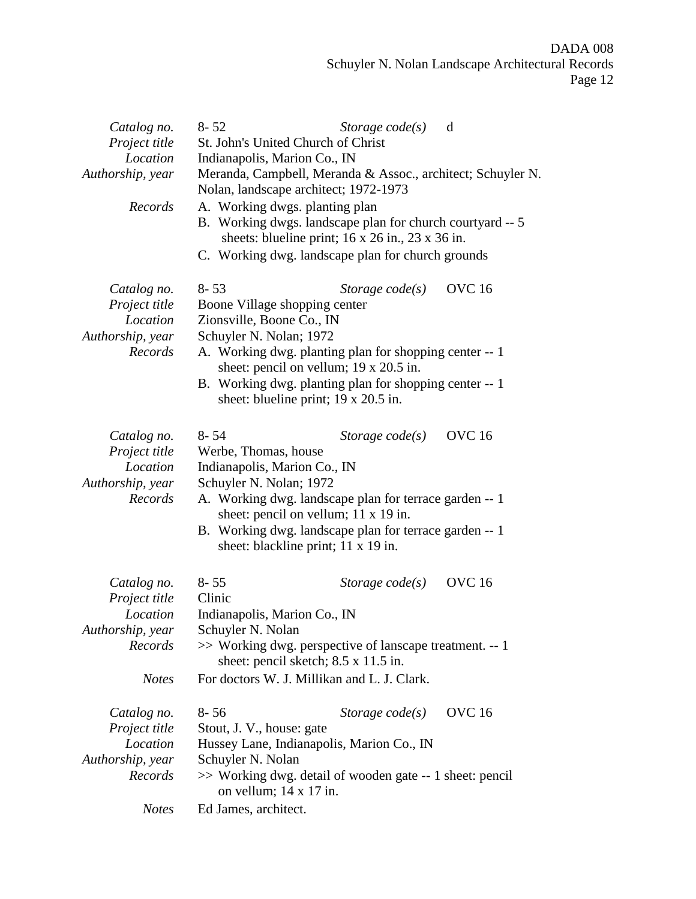| Catalog no.<br>Project title<br>Location<br>Authorship, year            | $8 - 52$<br>St. John's United Church of Christ<br>Indianapolis, Marion Co., IN<br>Nolan, landscape architect; 1972-1973 | Storage $code(s)$<br>Meranda, Campbell, Meranda & Assoc., architect; Schuyler N.                                                                                                                   | d             |
|-------------------------------------------------------------------------|-------------------------------------------------------------------------------------------------------------------------|----------------------------------------------------------------------------------------------------------------------------------------------------------------------------------------------------|---------------|
| Records                                                                 | A. Working dwgs. planting plan                                                                                          | B. Working dwgs. landscape plan for church courtyard -- 5<br>sheets: blueline print; $16 \times 26$ in., $23 \times 36$ in.<br>C. Working dwg. landscape plan for church grounds                   |               |
| Catalog no.<br>Project title<br>Location<br>Authorship, year            | $8 - 53$<br>Boone Village shopping center<br>Zionsville, Boone Co., IN<br>Schuyler N. Nolan; 1972                       | Storage $code(s)$                                                                                                                                                                                  | <b>OVC</b> 16 |
| Records                                                                 |                                                                                                                         | A. Working dwg. planting plan for shopping center -- 1<br>sheet: pencil on vellum; 19 x 20.5 in.<br>B. Working dwg. planting plan for shopping center -- 1<br>sheet: blueline print; 19 x 20.5 in. |               |
| Catalog no.<br>Project title<br>Location<br>Authorship, year            | 8-54<br>Werbe, Thomas, house<br>Indianapolis, Marion Co., IN<br>Schuyler N. Nolan; 1972                                 | Storage $code(s)$                                                                                                                                                                                  | <b>OVC</b> 16 |
| Records                                                                 |                                                                                                                         | A. Working dwg. landscape plan for terrace garden -- 1<br>sheet: pencil on vellum; 11 x 19 in.<br>B. Working dwg. landscape plan for terrace garden -- 1<br>sheet: blackline print; 11 x 19 in.    |               |
| Catalog no.<br>Project title<br>Location                                | $8 - 55$<br>Clinic<br>Indianapolis, Marion Co., IN                                                                      | Storage $code(s)$                                                                                                                                                                                  | <b>OVC</b> 16 |
| Authorship, year<br>Records                                             | Schuyler N. Nolan                                                                                                       | >> Working dwg. perspective of lanscape treatment. -- 1<br>sheet: pencil sketch; 8.5 x 11.5 in.                                                                                                    |               |
| <b>Notes</b>                                                            |                                                                                                                         | For doctors W. J. Millikan and L. J. Clark.                                                                                                                                                        |               |
| Catalog no.<br>Project title<br>Location<br>Authorship, year<br>Records | $8 - 56$<br>Stout, J. V., house: gate<br>Schuyler N. Nolan<br>on vellum; $14 \times 17$ in.                             | Storage $code(s)$<br>Hussey Lane, Indianapolis, Marion Co., IN<br>>> Working dwg. detail of wooden gate -- 1 sheet: pencil                                                                         | <b>OVC</b> 16 |
| <b>Notes</b>                                                            | Ed James, architect.                                                                                                    |                                                                                                                                                                                                    |               |